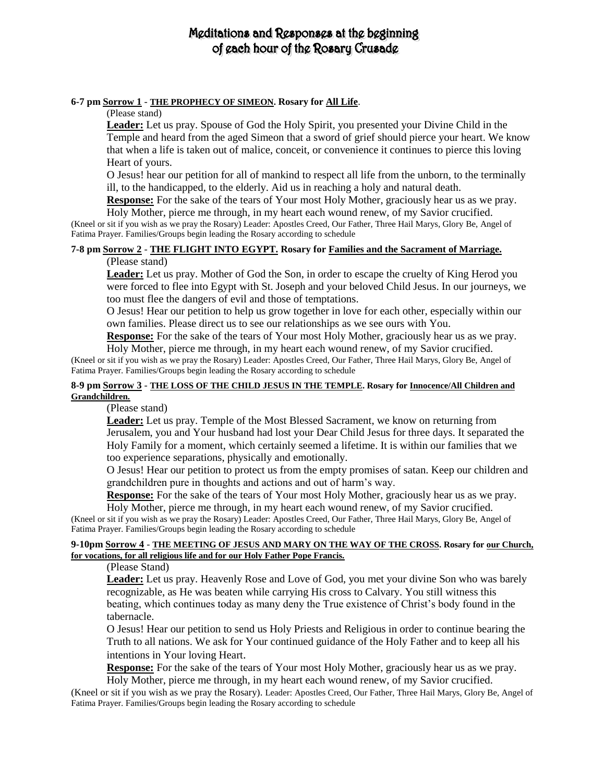## Meditations and Responses at the beginning of gach hour of the Rosary Crusade

#### **6-7 pm Sorrow 1** - **THE PROPHECY OF SIMEON. Rosary for All Life**.

#### (Please stand)

**Leader:** Let us pray. Spouse of God the Holy Spirit, you presented your Divine Child in the Temple and heard from the aged Simeon that a sword of grief should pierce your heart. We know that when a life is taken out of malice, conceit, or convenience it continues to pierce this loving Heart of yours.

O Jesus! hear our petition for all of mankind to respect all life from the unborn, to the terminally ill, to the handicapped, to the elderly. Aid us in reaching a holy and natural death.

**Response:** For the sake of the tears of Your most Holy Mother, graciously hear us as we pray. Holy Mother, pierce me through, in my heart each wound renew, of my Savior crucified.

(Kneel or sit if you wish as we pray the Rosary) Leader: Apostles Creed, Our Father, Three Hail Marys, Glory Be, Angel of Fatima Prayer. Families/Groups begin leading the Rosary according to schedule

### **7-8 pm Sorrow 2** - **THE FLIGHT INTO EGYPT. Rosary for Families and the Sacrament of Marriage.**

#### (Please stand)

**Leader:** Let us pray. Mother of God the Son, in order to escape the cruelty of King Herod you were forced to flee into Egypt with St. Joseph and your beloved Child Jesus. In our journeys, we too must flee the dangers of evil and those of temptations.

O Jesus! Hear our petition to help us grow together in love for each other, especially within our own families. Please direct us to see our relationships as we see ours with You.

**Response:** For the sake of the tears of Your most Holy Mother, graciously hear us as we pray.

Holy Mother, pierce me through, in my heart each wound renew, of my Savior crucified. (Kneel or sit if you wish as we pray the Rosary) Leader: Apostles Creed, Our Father, Three Hail Marys, Glory Be, Angel of Fatima Prayer. Families/Groups begin leading the Rosary according to schedule

#### **8-9 pm Sorrow 3** - **THE LOSS OF THE CHILD JESUS IN THE TEMPLE. Rosary for Innocence/All Children and Grandchildren.**

(Please stand)

**Leader:** Let us pray. Temple of the Most Blessed Sacrament, we know on returning from Jerusalem, you and Your husband had lost your Dear Child Jesus for three days. It separated the Holy Family for a moment, which certainly seemed a lifetime. It is within our families that we too experience separations, physically and emotionally.

O Jesus! Hear our petition to protect us from the empty promises of satan. Keep our children and grandchildren pure in thoughts and actions and out of harm's way.

**Response:** For the sake of the tears of Your most Holy Mother, graciously hear us as we pray.

Holy Mother, pierce me through, in my heart each wound renew, of my Savior crucified. (Kneel or sit if you wish as we pray the Rosary) Leader: Apostles Creed, Our Father, Three Hail Marys, Glory Be, Angel of Fatima Prayer. Families/Groups begin leading the Rosary according to schedule

#### **9-10pm Sorrow 4** - **THE MEETING OF JESUS AND MARY ON THE WAY OF THE CROSS. Rosary for our Church, for vocations, for all religious life and for our Holy Father Pope Francis.**

#### (Please Stand)

**Leader:** Let us pray. Heavenly Rose and Love of God, you met your divine Son who was barely recognizable, as He was beaten while carrying His cross to Calvary. You still witness this beating, which continues today as many deny the True existence of Christ's body found in the tabernacle.

O Jesus! Hear our petition to send us Holy Priests and Religious in order to continue bearing the Truth to all nations. We ask for Your continued guidance of the Holy Father and to keep all his intentions in Your loving Heart.

**Response:** For the sake of the tears of Your most Holy Mother, graciously hear us as we pray. Holy Mother, pierce me through, in my heart each wound renew, of my Savior crucified.

(Kneel or sit if you wish as we pray the Rosary). Leader: Apostles Creed, Our Father, Three Hail Marys, Glory Be, Angel of Fatima Prayer. Families/Groups begin leading the Rosary according to schedule